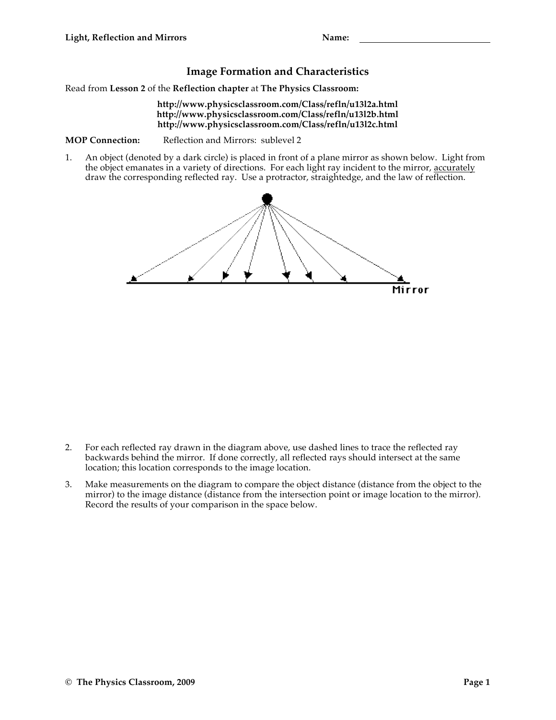## **Image Formation and Characteristics**

Read from **Lesson 2** of the **Reflection chapter** at **The Physics Classroom:**

## **http://www.physicsclassroom.com/Class/refln/u13l2a.html http://www.physicsclassroom.com/Class/refln/u13l2b.html http://www.physicsclassroom.com/Class/refln/u13l2c.html**

**MOP Connection:** Reflection and Mirrors: sublevel 2

1. An object (denoted by a dark circle) is placed in front of a plane mirror as shown below. Light from the object emanates in a variety of directions. For each light ray incident to the mirror, accurately draw the corresponding reflected ray. Use a protractor, straightedge, and the law of reflection.



- 2. For each reflected ray drawn in the diagram above, use dashed lines to trace the reflected ray backwards behind the mirror. If done correctly, all reflected rays should intersect at the same location; this location corresponds to the image location.
- 3. Make measurements on the diagram to compare the object distance (distance from the object to the mirror) to the image distance (distance from the intersection point or image location to the mirror). Record the results of your comparison in the space below.